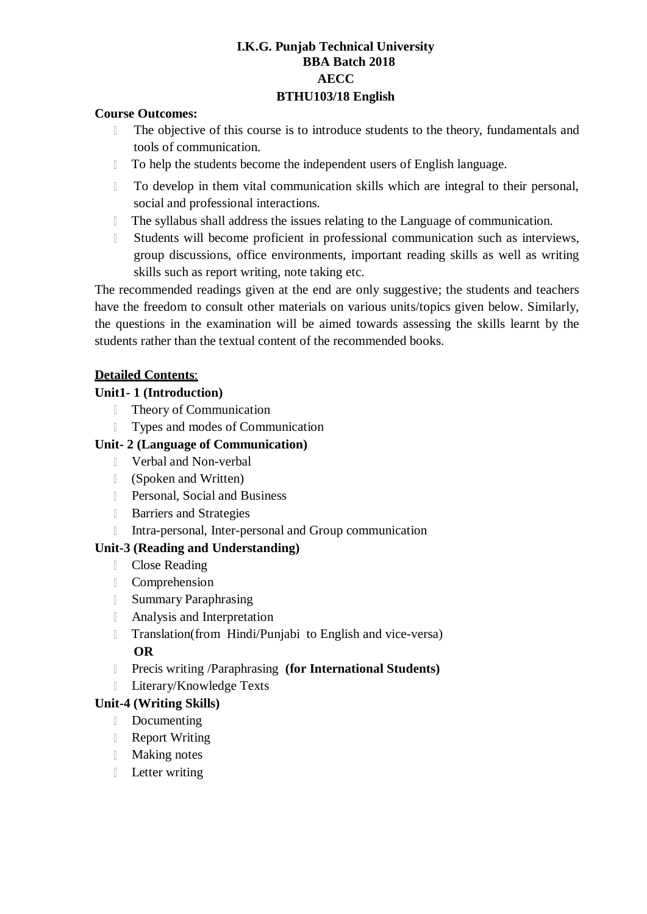## **I.K.G. Punjab Technical University BBA Batch 2018 AECC BTHU103/18 English**

#### **Course Outcomes:**

- The objective of this course is to introduce students to the theory, fundamentals and  $\mathbb{R}$ tools of communication.
- $\mathbb{R}$ To help the students become the independent users of English language.
- To develop in them vital communication skills which are integral to their personal, social and professional interactions.
- The syllabus shall address the issues relating to the Language of communication.  $\mathbb{L}$
- Students will become proficient in professional communication such as interviews,  $\begin{array}{c} \hline \end{array}$ group discussions, office environments, important reading skills as well as writing skills such as report writing, note taking etc.

The recommended readings given at the end are only suggestive; the students and teachers have the freedom to consult other materials on various units/topics given below. Similarly, the questions in the examination will be aimed towards assessing the skills learnt by the students rather than the textual content of the recommended books.

### **Detailed Contents**:

### **Unit1- 1 (Introduction)**

- Theory of Communication  $\mathbb{R}$
- Types and modes of Communication

### **Unit- 2 (Language of Communication)**

- Verbal and Non-verbal
- (Spoken and Written)
- **Personal, Social and Business**
- **Barriers and Strategies**
- Intra-personal, Inter-personal and Group communication

### **Unit-3 (Reading and Understanding)**

- Close Reading
- Comprehension
- Summary Paraphrasing
- Analysis and Interpretation
- Translation(from Hindi/Punjabi to English and vice-versa) **OR**
- Precis writing /Paraphrasing **(for International Students)**
- **Literary/Knowledge Texts**

### **Unit-4 (Writing Skills)**

- Documenting
- **Report Writing**
- **Making notes**
- **Letter writing**